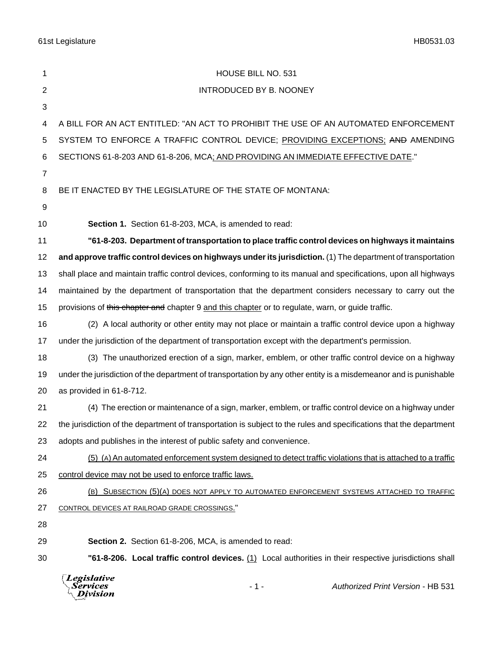61st Legislature HB0531.03

| 1              | HOUSE BILL NO. 531                                                                                                  |
|----------------|---------------------------------------------------------------------------------------------------------------------|
| 2              | INTRODUCED BY B. NOONEY                                                                                             |
| 3              |                                                                                                                     |
| 4              | A BILL FOR AN ACT ENTITLED: "AN ACT TO PROHIBIT THE USE OF AN AUTOMATED ENFORCEMENT                                 |
| 5              | SYSTEM TO ENFORCE A TRAFFIC CONTROL DEVICE; PROVIDING EXCEPTIONS; AND AMENDING                                      |
| 6              | SECTIONS 61-8-203 AND 61-8-206, MCA; AND PROVIDING AN IMMEDIATE EFFECTIVE DATE."                                    |
| $\overline{7}$ |                                                                                                                     |
| 8              | BE IT ENACTED BY THE LEGISLATURE OF THE STATE OF MONTANA:                                                           |
| 9              |                                                                                                                     |
| 10             | Section 1. Section 61-8-203, MCA, is amended to read:                                                               |
| 11             | "61-8-203. Department of transportation to place traffic control devices on highways it maintains                   |
| 12             | and approve traffic control devices on highways under its jurisdiction. (1) The department of transportation        |
| 13             | shall place and maintain traffic control devices, conforming to its manual and specifications, upon all highways    |
| 14             | maintained by the department of transportation that the department considers necessary to carry out the             |
| 15             | provisions of this chapter and chapter 9 and this chapter or to regulate, warn, or guide traffic.                   |
| 16             | (2) A local authority or other entity may not place or maintain a traffic control device upon a highway             |
| 17             | under the jurisdiction of the department of transportation except with the department's permission.                 |
| 18             | (3) The unauthorized erection of a sign, marker, emblem, or other traffic control device on a highway               |
| 19             | under the jurisdiction of the department of transportation by any other entity is a misdemeanor and is punishable   |
| 20             | as provided in 61-8-712.                                                                                            |
| 21             | (4) The erection or maintenance of a sign, marker, emblem, or traffic control device on a highway under             |
| 22             | the jurisdiction of the department of transportation is subject to the rules and specifications that the department |
| 23             | adopts and publishes in the interest of public safety and convenience.                                              |
| 24             | (5) (A) An automated enforcement system designed to detect traffic violations that is attached to a traffic         |
| 25             | control device may not be used to enforce traffic laws.                                                             |
| 26             | (B) SUBSECTION (5)(A) DOES NOT APPLY TO AUTOMATED ENFORCEMENT SYSTEMS ATTACHED TO TRAFFIC                           |
| 27             | CONTROL DEVICES AT RAILROAD GRADE CROSSINGS."                                                                       |
| 28             |                                                                                                                     |
| 29             | Section 2. Section 61-8-206, MCA, is amended to read:                                                               |
| 30             | "61-8-206. Local traffic control devices. (1) Local authorities in their respective jurisdictions shall             |
|                | Legislative<br>Authorized Print Version - HB 531<br>Services<br>- 1 -<br>Division                                   |